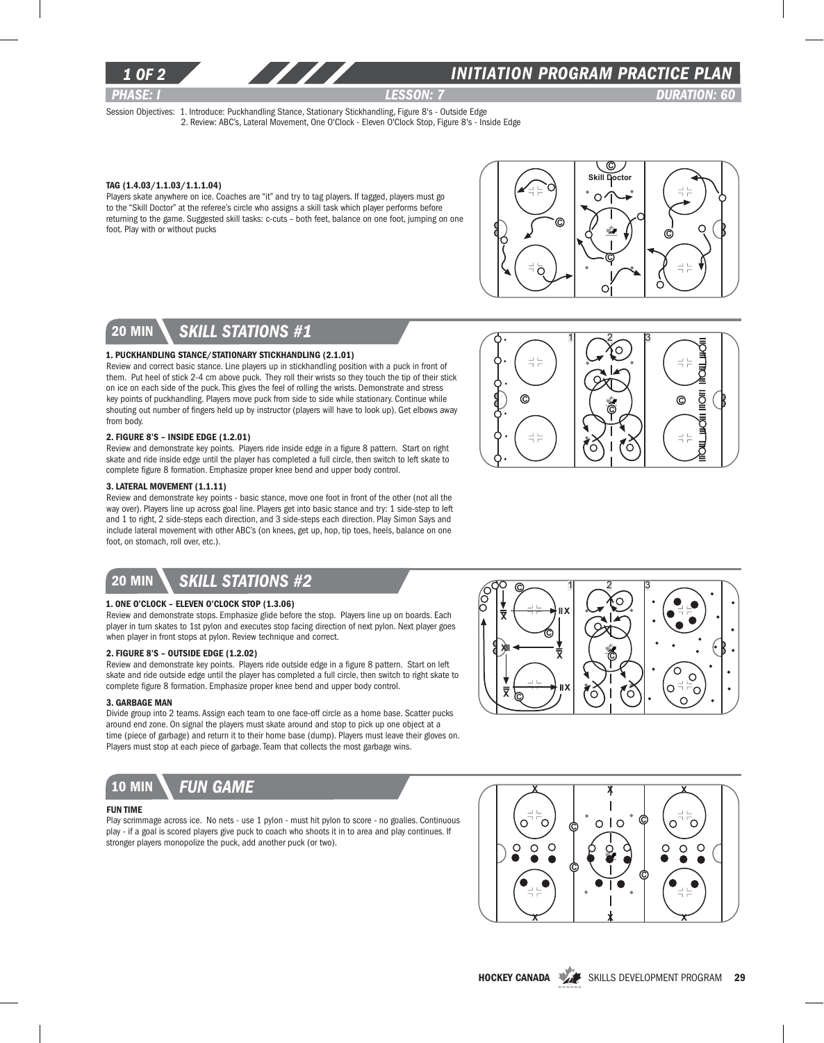

### *1 of 2 INITIATION program PRACTICE PLAN*

*PHASE: I lesson: 7 DURATION: 60* 

Session Objectives: 1. Introduce: Puckhandling Stance, Stationary Stickhandling, Figure 8's - Outside Edge 2. Review: ABC's, Lateral Movement, One O'Clock - Eleven O'Clock Stop, Figure 8's - Inside Edge

#### Tag (1.4.03/1.1.03/1.1.1.04)

Players skate anywhere on ice. Coaches are "it" and try to tag players. If tagged, players must go to the "Skill Doctor" at the referee's circle who assigns a skill task which player performs before returning to the game. Suggested skill tasks: c-cuts – both feet, balance on one foot, jumping on one foot. Play with or without pucks



C

 $1\sim^2$   $3\sim$ 

Õ

₹

ğ

©

 $\frac{-1}{1} \frac{1}{t}$ 

 $\Rightarrow$   $\frac{1}{11}$ 

## 20 min *skill stations #1*

#### 1. Puckhandling Stance/Stationary Stickhandling (2.1.01)

Review and correct basic stance. Line players up in stickhandling position with a puck in front of them. Put heel of stick 2-4 cm above puck. They roll their wrists so they touch the tip of their stick on ice on each side of the puck. This gives the feel of rolling the wrists. Demonstrate and stress key points of puckhandling. Players move puck from side to side while stationary. Continue while shouting out number of fingers held up by instructor (players will have to look up). Get elbows away from body.

#### 2. Figure 8's – Inside Edge (1.2.01)

Review and demonstrate key points. Players ride inside edge in a figure 8 pattern. Start on right skate and ride inside edge until the player has completed a full circle, then switch to left skate to complete figure 8 formation. Emphasize proper knee bend and upper body control.

#### 3. Lateral Movement (1.1.11)

Review and demonstrate key points - basic stance, move one foot in front of the other (not all the way over). Players line up across goal line. Players get into basic stance and try: 1 side-step to left and 1 to right, 2 side-steps each direction, and 3 side-steps each direction. Play Simon Says and include lateral movement with other ABC's (on knees, get up, hop, tip toes, heels, balance on one foot, on stomach, roll over, etc.).

## 20 min *skill stations #2*

#### 1. One O'clock – Eleven O'clock Stop (1.3.06)

Review and demonstrate stops. Emphasize glide before the stop. Players line up on boards. Each player in turn skates to 1st pylon and executes stop facing direction of next pylon. Next player goes when player in front stops at pylon. Review technique and correct.

#### 2. Figure 8's – Outside Edge (1.2.02)

Review and demonstrate key points. Players ride outside edge in a figure 8 pattern. Start on left skate and ride outside edge until the player has completed a full circle, then switch to right skate to complete figure 8 formation. Emphasize proper knee bend and upper body control.

#### 3. Garbage Man

Divide group into 2 teams. Assign each team to one face-off circle as a home base. Scatter pucks around end zone. On signal the players must skate around and stop to pick up one object at a time (piece of garbage) and return it to their home base (dump). Players must leave their gloves on. Players must stop at each piece of garbage. Team that collects the most garbage wins.



#### Fun Time

Play scrimmage across ice. No nets - use 1 pylon - must hit pylon to score - no goalies. Continuous play - if a goal is scored players give puck to coach who shoots it in to area and play continues. If stronger players monopolize the puck, add another puck (or two).